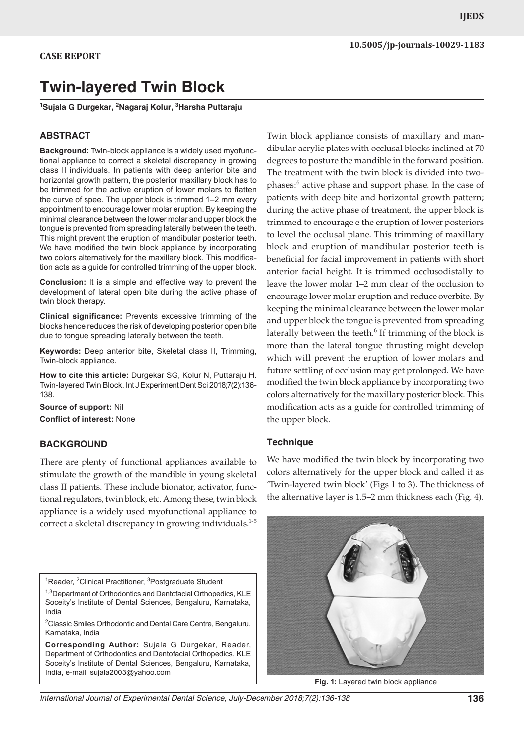# **Twin-layered Twin Block**

**1 Sujala G Durgekar, 2 Nagaraj Kolur, 3 Harsha Puttaraju**

#### **ABSTRACT**

**Background:** Twin-block appliance is a widely used myofunctional appliance to correct a skeletal discrepancy in growing class II individuals. In patients with deep anterior bite and horizontal growth pattern, the posterior maxillary block has to be trimmed for the active eruption of lower molars to flatten the curve of spee. The upper block is trimmed 1–2 mm every appointment to encourage lower molar eruption. By keeping the minimal clearance between the lower molar and upper block the tongue is prevented from spreading laterally between the teeth. This might prevent the eruption of mandibular posterior teeth. We have modified the twin block appliance by incorporating two colors alternatively for the maxillary block. This modification acts as a guide for controlled trimming of the upper block.

**Conclusion:** It is a simple and effective way to prevent the development of lateral open bite during the active phase of twin block therapy.

**Clinical significance:** Prevents excessive trimming of the blocks hence reduces the risk of developing posterior open bite due to tongue spreading laterally between the teeth.

**Keywords:** Deep anterior bite, Skeletal class II, Trimming, Twin-block appliance.

**How to cite this article:** Durgekar SG, Kolur N, Puttaraju H. Twin-layered Twin Block. Int J Experiment Dent Sci 2018;7(2):136- 138.

**Source of support:** Nil **Conflict of interest:** None

#### **BACKGROUND**

There are plenty of functional appliances available to stimulate the growth of the mandible in young skeletal class II patients. These include bionator, activator, functional regulators, twin block, etc. Among these, twin block appliance is a widely used myofunctional appliance to correct a skeletal discrepancy in growing individuals.<sup>1-5</sup>

<sup>1</sup>Reader, <sup>2</sup>Clinical Practitioner, <sup>3</sup>Postgraduate Student

<sup>1,3</sup>Department of Orthodontics and Dentofacial Orthopedics, KLE Soceity's Institute of Dental Sciences, Bengaluru, Karnataka, India

<sup>2</sup>Classic Smiles Orthodontic and Dental Care Centre, Bengaluru, Karnataka, India

**Corresponding Author:** Sujala G Durgekar, Reader, Department of Orthodontics and Dentofacial Orthopedics, KLE Soceity's Institute of Dental Sciences, Bengaluru, Karnataka, India, e-mail: sujala2003@yahoo.com

Twin block appliance consists of maxillary and mandibular acrylic plates with occlusal blocks inclined at 70 degrees to posture the mandible in the forward position. The treatment with the twin block is divided into twophases:<sup>6</sup> active phase and support phase. In the case of patients with deep bite and horizontal growth pattern; during the active phase of treatment, the upper block is trimmed to encourage e the eruption of lower posteriors to level the occlusal plane. This trimming of maxillary block and eruption of mandibular posterior teeth is beneficial for facial improvement in patients with short anterior facial height. It is trimmed occlusodistally to leave the lower molar 1–2 mm clear of the occlusion to encourage lower molar eruption and reduce overbite. By keeping the minimal clearance between the lower molar and upper block the tongue is prevented from spreading laterally between the teeth.<sup>6</sup> If trimming of the block is more than the lateral tongue thrusting might develop which will prevent the eruption of lower molars and future settling of occlusion may get prolonged. We have modified the twin block appliance by incorporating two colors alternatively for the maxillary posterior block. This modification acts as a guide for controlled trimming of the upper block.

#### **Technique**

We have modified the twin block by incorporating two colors alternatively for the upper block and called it as 'Twin-layered twin block' (Figs 1 to 3). The thickness of the alternative layer is 1.5–2 mm thickness each (Fig. 4).



**Fig. 1:** Layered twin block appliance

*International Journal of Experimental Dental Science, July-December 2018;7(2):136-138* **136**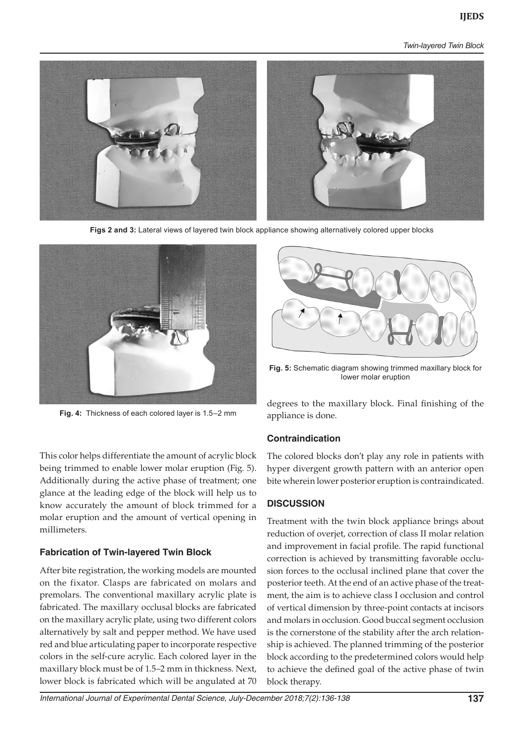*Twin-layered Twin Block*



**Figs 2 and 3:** Lateral views of layered twin block appliance showing alternatively colored upper blocks



**Fig. 4:** Thickness of each colored layer is 1.5–2 mm

This color helps differentiate the amount of acrylic block being trimmed to enable lower molar eruption (Fig. 5). Additionally during the active phase of treatment; one glance at the leading edge of the block will help us to know accurately the amount of block trimmed for a molar eruption and the amount of vertical opening in millimeters.

## **Fabrication of Twin-layered Twin Block**

After bite registration, the working models are mounted on the fixator. Clasps are fabricated on molars and premolars. The conventional maxillary acrylic plate is fabricated. The maxillary occlusal blocks are fabricated on the maxillary acrylic plate, using two different colors alternatively by salt and pepper method. We have used red and blue articulating paper to incorporate respective colors in the self-cure acrylic. Each colored layer in the maxillary block must be of 1.5–2 mm in thickness. Next, lower block is fabricated which will be angulated at 70



**Fig. 5:** Schematic diagram showing trimmed maxillary block for lower molar eruption

degrees to the maxillary block. Final finishing of the appliance is done.

## **Contraindication**

The colored blocks don't play any role in patients with hyper divergent growth pattern with an anterior open bite wherein lower posterior eruption is contraindicated.

## **DISCUSSION**

Treatment with the twin block appliance brings about reduction of overjet, correction of class II molar relation and improvement in facial profile. The rapid functional correction is achieved by transmitting favorable occlusion forces to the occlusal inclined plane that cover the posterior teeth. At the end of an active phase of the treatment, the aim is to achieve class I occlusion and control of vertical dimension by three-point contacts at incisors and molars in occlusion. Good buccal segment occlusion is the cornerstone of the stability after the arch relationship is achieved. The planned trimming of the posterior block according to the predetermined colors would help to achieve the defined goal of the active phase of twin block therapy.